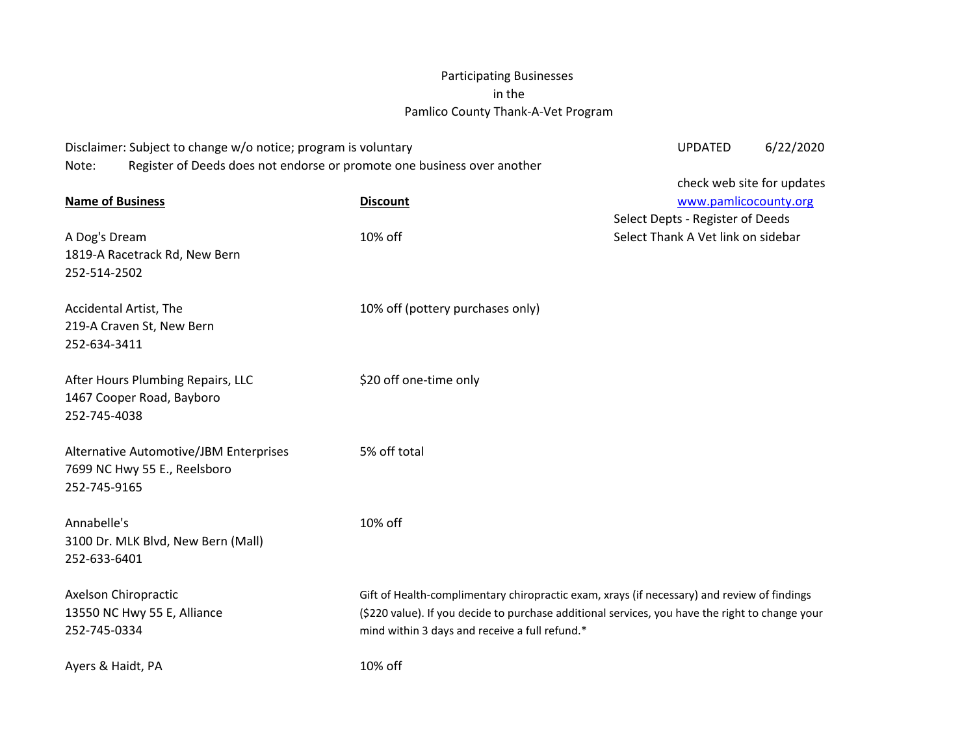## Participating Businesses in the Pamlico County Thank-A-Vet Program

| Disclaimer: Subject to change w/o notice; program is voluntary                   |                                                                                                 | <b>UPDATED</b>                     | 6/22/2020 |  |
|----------------------------------------------------------------------------------|-------------------------------------------------------------------------------------------------|------------------------------------|-----------|--|
| Register of Deeds does not endorse or promote one business over another<br>Note: |                                                                                                 |                                    |           |  |
|                                                                                  |                                                                                                 | check web site for updates         |           |  |
| <b>Name of Business</b>                                                          | <b>Discount</b>                                                                                 | www.pamlicocounty.org              |           |  |
|                                                                                  |                                                                                                 | Select Depts - Register of Deeds   |           |  |
| A Dog's Dream                                                                    | 10% off                                                                                         | Select Thank A Vet link on sidebar |           |  |
| 1819-A Racetrack Rd, New Bern                                                    |                                                                                                 |                                    |           |  |
| 252-514-2502                                                                     |                                                                                                 |                                    |           |  |
|                                                                                  |                                                                                                 |                                    |           |  |
| Accidental Artist, The                                                           | 10% off (pottery purchases only)                                                                |                                    |           |  |
| 219-A Craven St, New Bern                                                        |                                                                                                 |                                    |           |  |
| 252-634-3411                                                                     |                                                                                                 |                                    |           |  |
|                                                                                  |                                                                                                 |                                    |           |  |
| After Hours Plumbing Repairs, LLC                                                | \$20 off one-time only                                                                          |                                    |           |  |
| 1467 Cooper Road, Bayboro                                                        |                                                                                                 |                                    |           |  |
| 252-745-4038                                                                     |                                                                                                 |                                    |           |  |
|                                                                                  |                                                                                                 |                                    |           |  |
| Alternative Automotive/JBM Enterprises                                           | 5% off total                                                                                    |                                    |           |  |
| 7699 NC Hwy 55 E., Reelsboro                                                     |                                                                                                 |                                    |           |  |
| 252-745-9165                                                                     |                                                                                                 |                                    |           |  |
|                                                                                  |                                                                                                 |                                    |           |  |
| Annabelle's                                                                      | 10% off                                                                                         |                                    |           |  |
| 3100 Dr. MLK Blvd, New Bern (Mall)                                               |                                                                                                 |                                    |           |  |
| 252-633-6401                                                                     |                                                                                                 |                                    |           |  |
|                                                                                  |                                                                                                 |                                    |           |  |
| Axelson Chiropractic                                                             | Gift of Health-complimentary chiropractic exam, xrays (if necessary) and review of findings     |                                    |           |  |
| 13550 NC Hwy 55 E, Alliance                                                      | (\$220 value). If you decide to purchase additional services, you have the right to change your |                                    |           |  |
| 252-745-0334                                                                     | mind within 3 days and receive a full refund.*                                                  |                                    |           |  |
|                                                                                  |                                                                                                 |                                    |           |  |
| Ayers & Haidt, PA                                                                | 10% off                                                                                         |                                    |           |  |
|                                                                                  |                                                                                                 |                                    |           |  |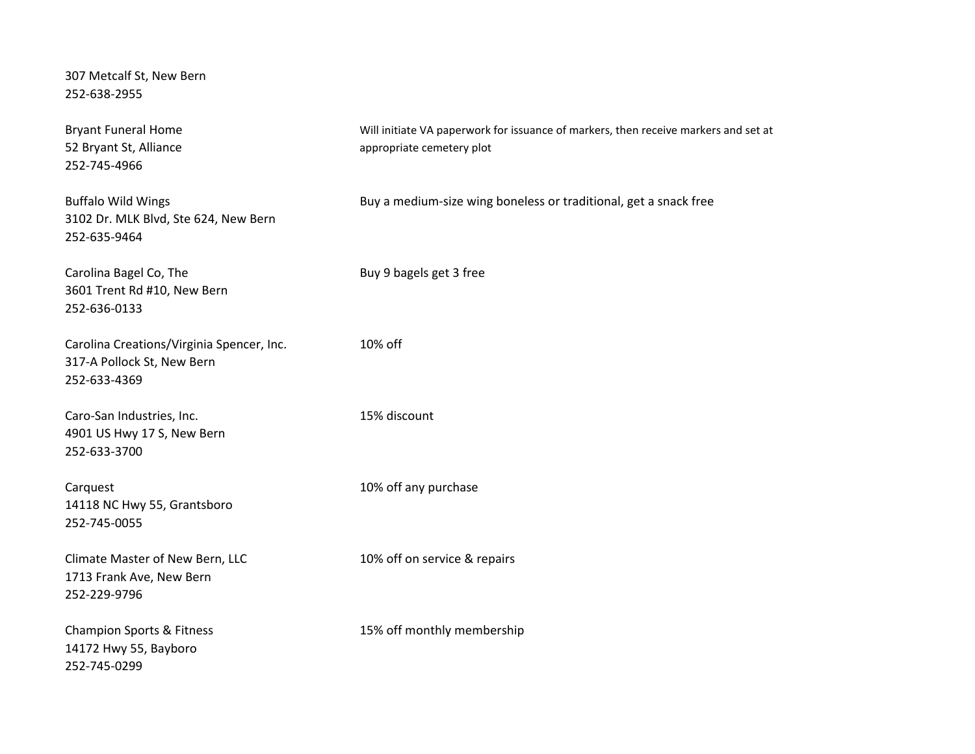307 Metcalf St, New Bern 252-638-2955

Bryant Funeral Home **Will initiate VA paperwork for issuance of markers**, then receive markers and set at 52 Bryant St, Alliance appropriate cemetery plot 252-745-4966 Buffalo Wild Wings **Buy a medium-size wing boneless or traditional**, get a snack free 3102 Dr. MLK Blvd, Ste 624, New Bern 252-635-9464 Carolina Bagel Co, The Buy 9 bagels get 3 free 3601 Trent Rd #10, New Bern 252-636-0133 Carolina Creations/Virginia Spencer, Inc. 10% off 317-A Pollock St, New Bern 252-633-4369 Caro-San Industries, Inc. 15% discount 4901 US Hwy 17 S, New Bern 252-633-3700 Carquest **10% off any purchase** 14118 NC Hwy 55, Grantsboro 252-745-0055 Climate Master of New Bern, LLC 10% off on service & repairs 1713 Frank Ave, New Bern 252-229-9796 Champion Sports & Fitness 15% off monthly membership 14172 Hwy 55, Bayboro 252-745-0299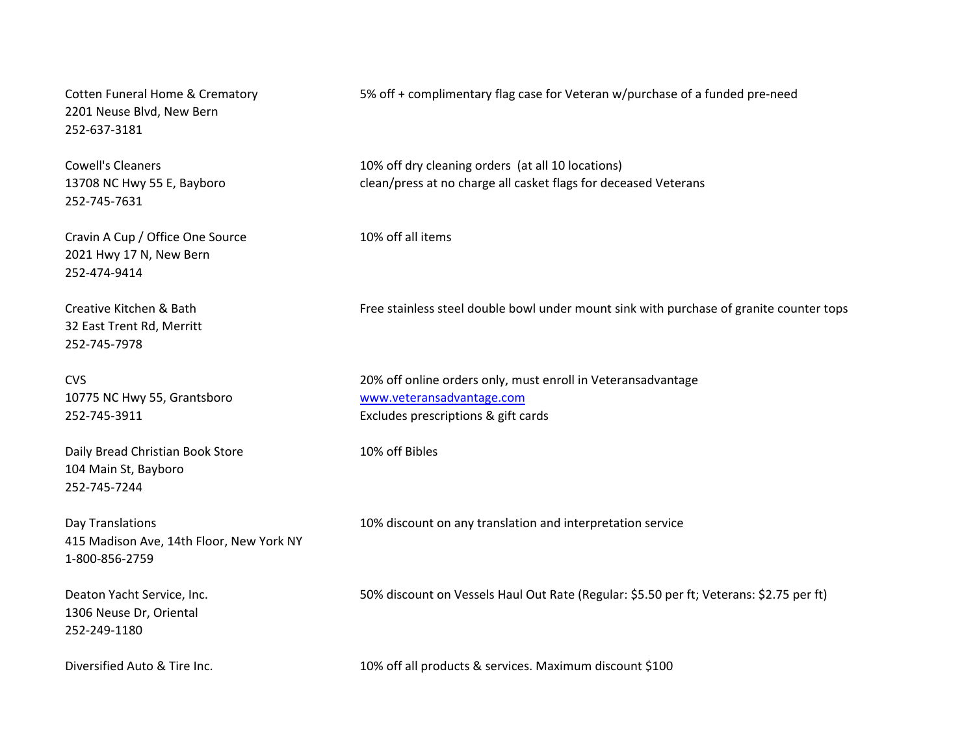2201 Neuse Blvd, New Bern 252-637-3181

252-745-7631

Cravin A Cup / Office One Source 10% off all items 2021 Hwy 17 N, New Bern 252-474-9414

32 East Trent Rd, Merritt 252-745-7978

10775 NC Hwy 55, Grantsboro [www.veteransadvantage.com](http://www.veteransadvantage.com/)

Daily Bread Christian Book Store 10% off Bibles 104 Main St, Bayboro 252-745-7244

415 Madison Ave, 14th Floor, New York NY 1-800-856-2759

1306 Neuse Dr, Oriental 252-249-1180

Cotten Funeral Home & Crematory 5% off + complimentary flag case for Veteran w/purchase of a funded pre-need

Cowell's Cleaners 10% off dry cleaning orders (at all 10 locations) 13708 NC Hwy 55 E, Bayboro clean/press at no charge all casket flags for deceased Veterans

Creative Kitchen & Bath Free stainless steel double bowl under mount sink with purchase of granite counter tops

CVS 20% off online orders only, must enroll in Veteransadvantage 252-745-3911 Excludes prescriptions & gift cards

Day Translations 10% discount on any translation and interpretation service

Deaton Yacht Service, Inc. 50% discount on Vessels Haul Out Rate (Regular: \$5.50 per ft; Veterans: \$2.75 per ft)

Diversified Auto & Tire Inc. 10% off all products & services. Maximum discount \$100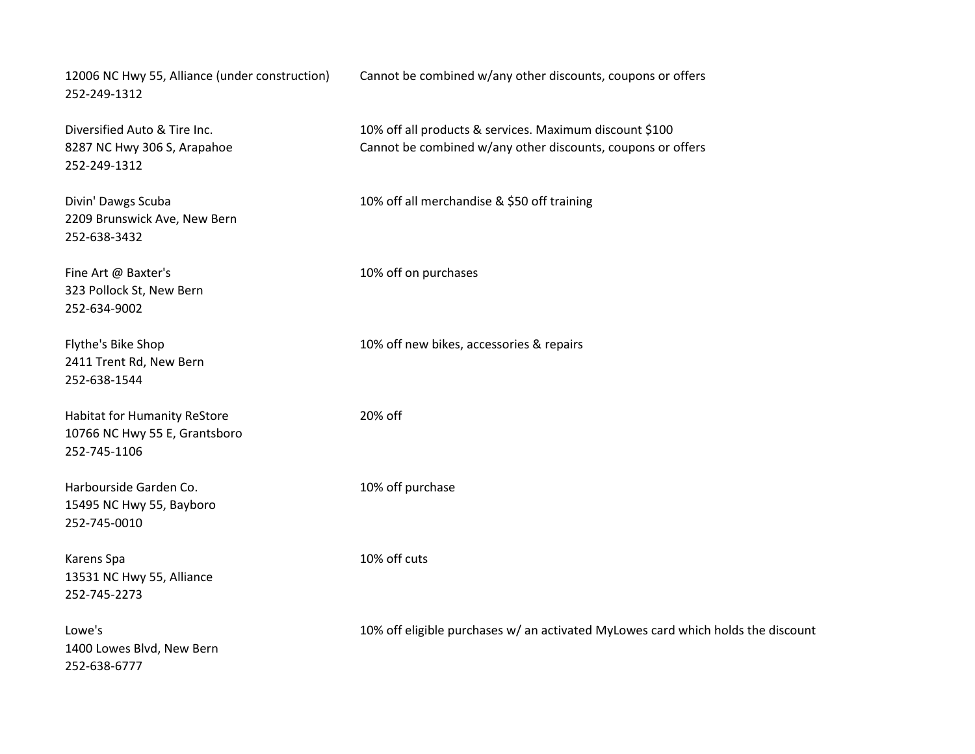252-249-1312

252-249-1312

2209 Brunswick Ave, New Bern 252-638-3432

323 Pollock St, New Bern 252-634-9002

2411 Trent Rd, New Bern 252-638-1544

Habitat for Humanity ReStore 20% off 10766 NC Hwy 55 E, Grantsboro 252-745-1106

Harbourside Garden Co. 10% off purchase 15495 NC Hwy 55, Bayboro 252-745-0010

Karens Spa 10% off cuts 13531 NC Hwy 55, Alliance 252-745-2273

1400 Lowes Blvd, New Bern 252-638-6777

12006 NC Hwy 55, Alliance (under construction) Cannot be combined w/any other discounts, coupons or offers

Diversified Auto & Tire Inc. 10% off all products & services. Maximum discount \$100 8287 NC Hwy 306 S, Arapahoe Cannot be combined w/any other discounts, coupons or offers

Divin' Dawgs Scuba 10% off all merchandise & \$50 off training

Fine Art @ Baxter's 10% off on purchases

Flythe's Bike Shop 10% off new bikes, accessories & repairs

Lowe's 10% off eligible purchases w/ an activated MyLowes card which holds the discount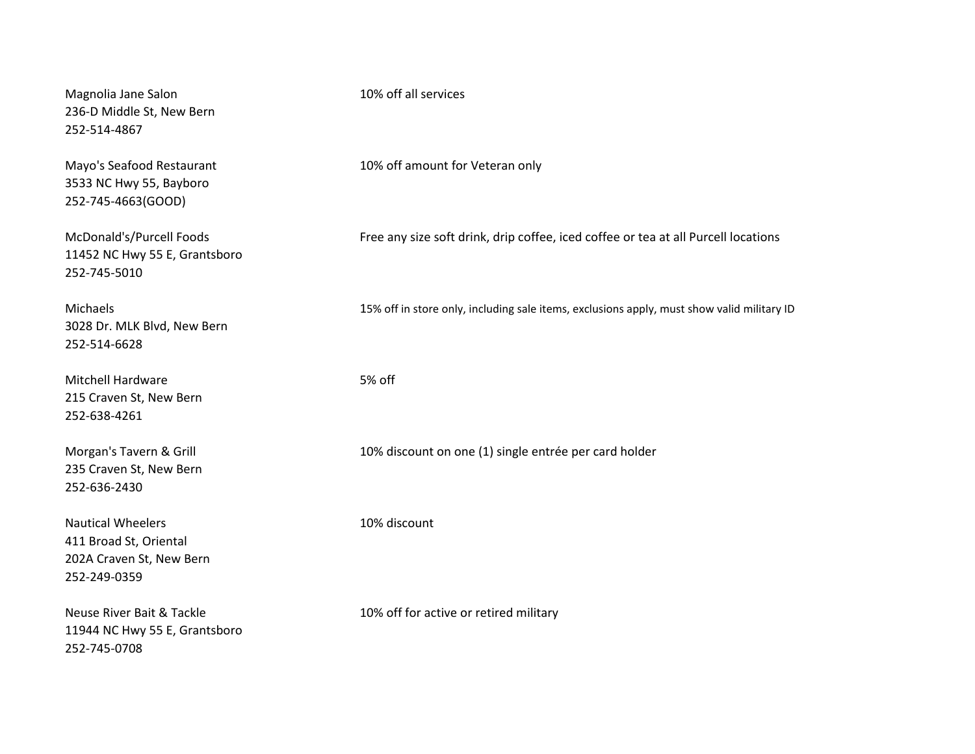Magnolia Jane Salon 10% off all services 236-D Middle St, New Bern 252-514-4867

3533 NC Hwy 55, Bayboro 252-745-4663(GOOD)

11452 NC Hwy 55 E, Grantsboro 252-745-5010

3028 Dr. MLK Blvd, New Bern 252-514-6628

Mitchell Hardware 5% off 215 Craven St, New Bern 252-638-4261

235 Craven St, New Bern 252-636-2430

Nautical Wheelers 10% discount 411 Broad St, Oriental 202A Craven St, New Bern 252-249-0359

11944 NC Hwy 55 E, Grantsboro 252-745-0708

Mayo's Seafood Restaurant 10% off amount for Veteran only

McDonald's/Purcell Foods Free any size soft drink, drip coffee, iced coffee or tea at all Purcell locations

Michaels 15% off in store only, including sale items, exclusions apply, must show valid military ID

Morgan's Tavern & Grill 10% discount on one (1) single entrée per card holder

Neuse River Bait & Tackle 10% off for active or retired military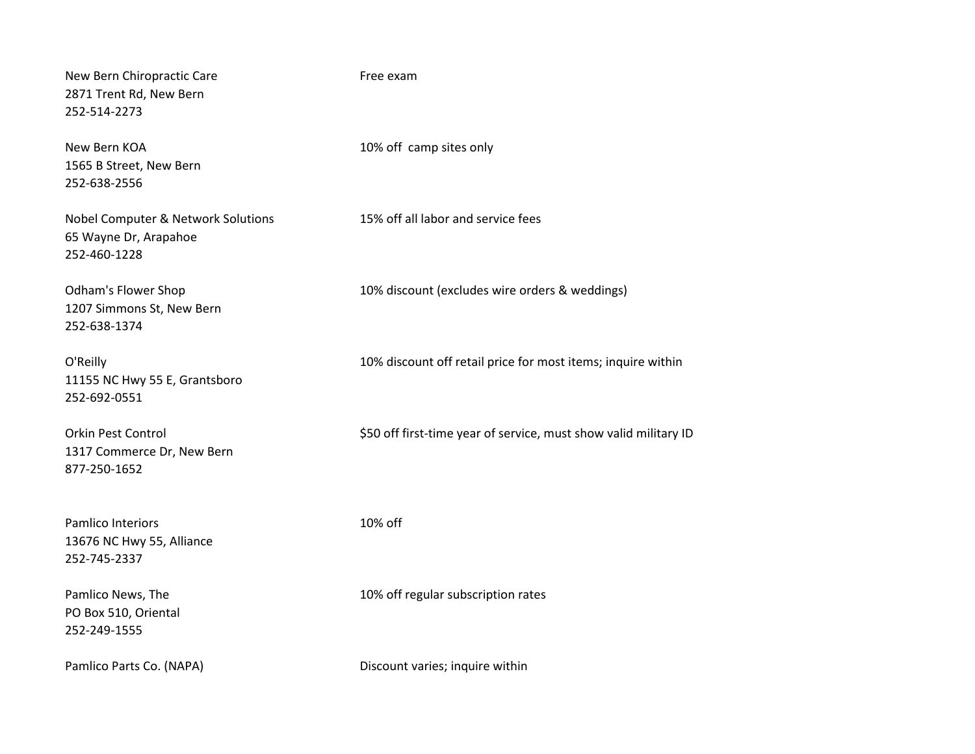New Bern Chiropractic Care Free exam 2871 Trent Rd, New Bern 252-514-2273

1565 B Street, New Bern 252-638-2556

Nobel Computer & Network Solutions 15% off all labor and service fees 65 Wayne Dr, Arapahoe 252-460-1228

1207 Simmons St, New Bern 252-638-1374

11155 NC Hwy 55 E, Grantsboro 252-692-0551

1317 Commerce Dr, New Bern 877-250-1652

Pamlico Interiors 10% off 13676 NC Hwy 55, Alliance 252-745-2337

PO Box 510, Oriental 252-249-1555

New Bern KOA 10% off camp sites only

Odham's Flower Shop 10% discount (excludes wire orders & weddings)

O'Reilly 10% discount off retail price for most items; inquire within

Orkin Pest Control **S50** off first-time year of service, must show valid military ID

Pamlico News, The 10% off regular subscription rates

Pamlico Parts Co. (NAPA) **Discount varies; inquire within**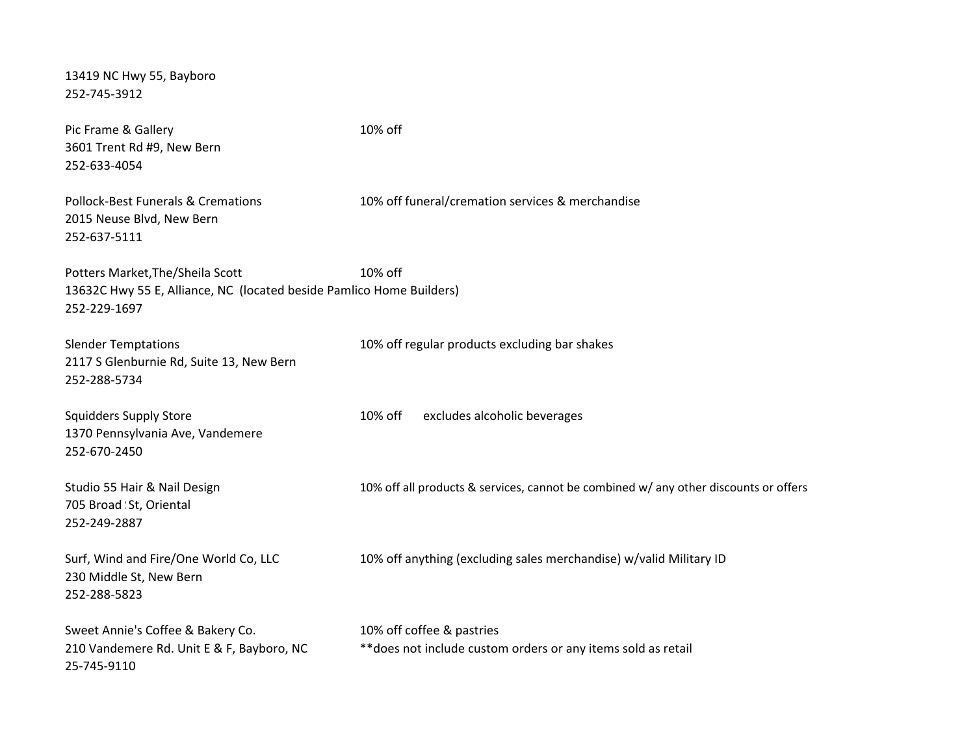| 13419 NC Hwy 55, Bayboro<br>252-745-3912                                                                                 |                                                                                            |
|--------------------------------------------------------------------------------------------------------------------------|--------------------------------------------------------------------------------------------|
| Pic Frame & Gallery<br>3601 Trent Rd #9, New Bern<br>252-633-4054                                                        | 10% off                                                                                    |
| <b>Pollock-Best Funerals &amp; Cremations</b><br>2015 Neuse Blvd, New Bern<br>252-637-5111                               | 10% off funeral/cremation services & merchandise                                           |
| Potters Market, The/Sheila Scott<br>13632C Hwy 55 E, Alliance, NC (located beside Pamlico Home Builders)<br>252-229-1697 | 10% off                                                                                    |
| <b>Slender Temptations</b><br>2117 S Glenburnie Rd, Suite 13, New Bern<br>252-288-5734                                   | 10% off regular products excluding bar shakes                                              |
| <b>Squidders Supply Store</b><br>1370 Pennsylvania Ave, Vandemere<br>252-670-2450                                        | 10% off<br>excludes alcoholic beverages                                                    |
| Studio 55 Hair & Nail Design<br>705 Broad St, Oriental<br>252-249-2887                                                   | 10% off all products & services, cannot be combined w/ any other discounts or offers       |
| Surf, Wind and Fire/One World Co, LLC<br>230 Middle St, New Bern<br>252-288-5823                                         | 10% off anything (excluding sales merchandise) w/valid Military ID                         |
| Sweet Annie's Coffee & Bakery Co.<br>210 Vandemere Rd. Unit E & F, Bayboro, NC<br>25-745-9110                            | 10% off coffee & pastries<br>** does not include custom orders or any items sold as retail |